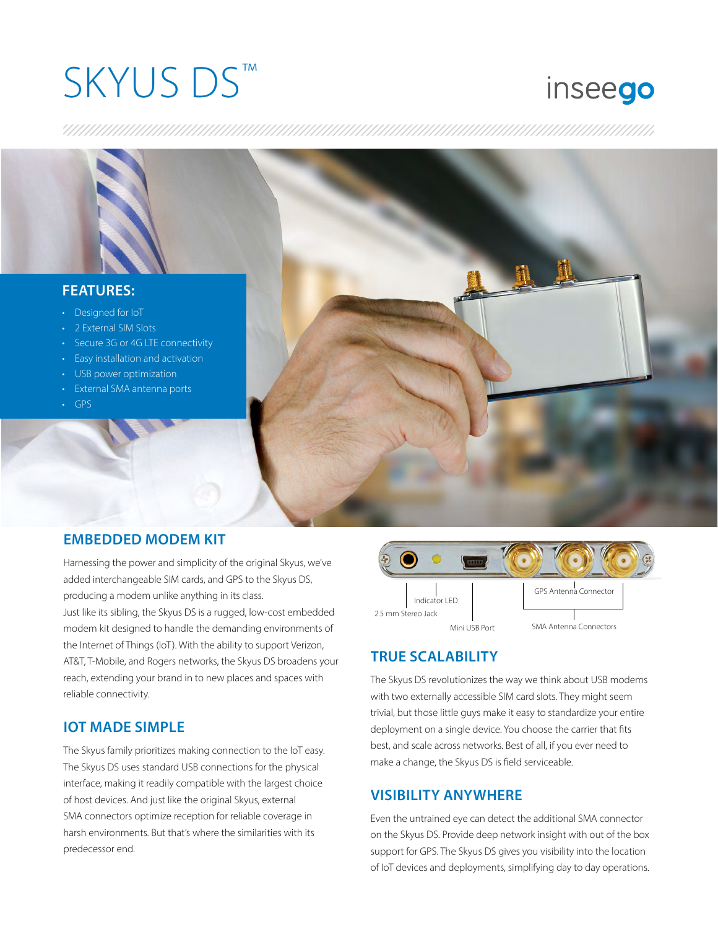# SKYUS DS™

# inseego

#### **FEATURES:**

- Designed for IoT
- 2 External SIM Slots
- Secure 3G or 4G LTE connectivity
- Easy installation and activation
- USB power optimization
- External SMA antenna ports
- GPS



#### **EMBEDDED MODEM KIT**

Harnessing the power and simplicity of the original Skyus, we've added interchangeable SIM cards, and GPS to the Skyus DS, producing a modem unlike anything in its class.

Just like its sibling, the Skyus DS is a rugged, low-cost embedded modem kit designed to handle the demanding environments of the Internet of Things (IoT). With the ability to support Verizon, AT&T, T-Mobile, and Rogers networks, the Skyus DS broadens your reach, extending your brand in to new places and spaces with reliable connectivity.

### **IOT MADE SIMPLE**

The Skyus family prioritizes making connection to the IoT easy. The Skyus DS uses standard USB connections for the physical interface, making it readily compatible with the largest choice of host devices. And just like the original Skyus, external SMA connectors optimize reception for reliable coverage in harsh environments. But that's where the similarities with its predecessor end.



# **TRUE SCALABILITY**

The Skyus DS revolutionizes the way we think about USB modems with two externally accessible SIM card slots. They might seem trivial, but those little guys make it easy to standardize your entire deployment on a single device. You choose the carrier that fits best, and scale across networks. Best of all, if you ever need to make a change, the Skyus DS is field serviceable.

## **VISIBILITY ANYWHERE**

Even the untrained eye can detect the additional SMA connector on the Skyus DS. Provide deep network insight with out of the box support for GPS. The Skyus DS gives you visibility into the location of IoT devices and deployments, simplifying day to day operations.